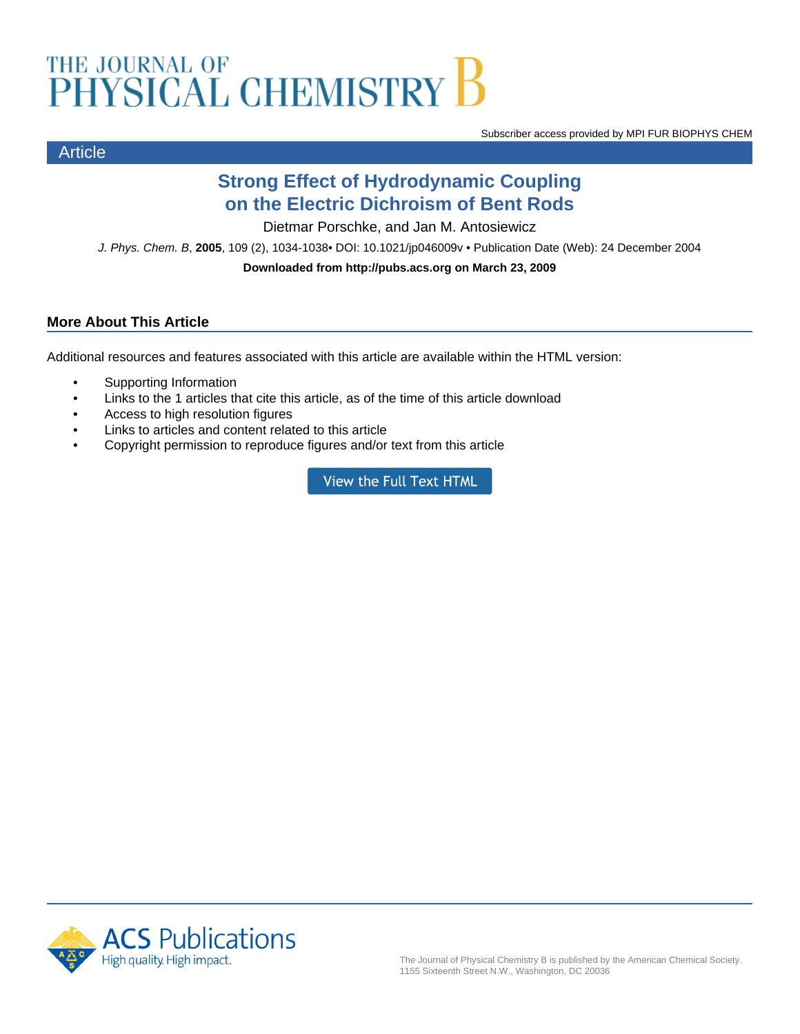# THE JOURNAL OF CHEMISTRY B

Subscriber access provided by MPI FUR BIOPHYS CHEM

# **Strong Effect of Hydrodynamic Coupling on the Electric Dichroism of Bent Rods**

Dietmar Porschke, and Jan M. Antosiewicz

J. Phys. Chem. B, **2005**, 109 (2), 1034-1038• DOI: 10.1021/jp046009v • Publication Date (Web): 24 December 2004

**Downloaded from http://pubs.acs.org on March 23, 2009**

## **More About This Article**

Additional resources and features associated with this article are available within the HTML version:

- Supporting Information
- Links to the 1 articles that cite this article, as of the time of this article download
- Access to high resolution figures
- Links to articles and content related to this article
- Copyright permission to reproduce figures and/or text from this article

View the Full Text HTML



Article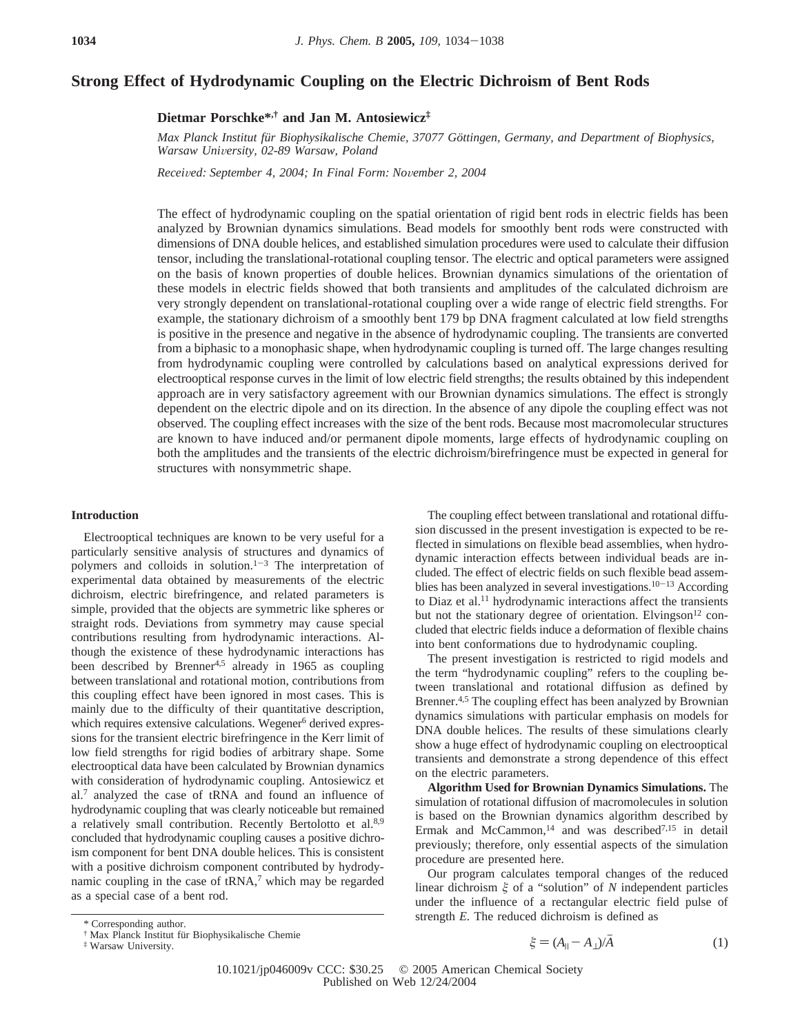### **Strong Effect of Hydrodynamic Coupling on the Electric Dichroism of Bent Rods**

**Dietmar Porschke\*,† and Jan M. Antosiewicz‡**

*Max Planck Institut für Biophysikalische Chemie, 37077 Göttingen, Germany, and Department of Biophysics, Warsaw University, 02-89 Warsaw, Poland* 

*Recei*V*ed: September 4, 2004; In Final Form: No*V*ember 2, 2004*

The effect of hydrodynamic coupling on the spatial orientation of rigid bent rods in electric fields has been analyzed by Brownian dynamics simulations. Bead models for smoothly bent rods were constructed with dimensions of DNA double helices, and established simulation procedures were used to calculate their diffusion tensor, including the translational-rotational coupling tensor. The electric and optical parameters were assigned on the basis of known properties of double helices. Brownian dynamics simulations of the orientation of these models in electric fields showed that both transients and amplitudes of the calculated dichroism are very strongly dependent on translational-rotational coupling over a wide range of electric field strengths. For example, the stationary dichroism of a smoothly bent 179 bp DNA fragment calculated at low field strengths is positive in the presence and negative in the absence of hydrodynamic coupling. The transients are converted from a biphasic to a monophasic shape, when hydrodynamic coupling is turned off. The large changes resulting from hydrodynamic coupling were controlled by calculations based on analytical expressions derived for electrooptical response curves in the limit of low electric field strengths; the results obtained by this independent approach are in very satisfactory agreement with our Brownian dynamics simulations. The effect is strongly dependent on the electric dipole and on its direction. In the absence of any dipole the coupling effect was not observed. The coupling effect increases with the size of the bent rods. Because most macromolecular structures are known to have induced and/or permanent dipole moments, large effects of hydrodynamic coupling on both the amplitudes and the transients of the electric dichroism/birefringence must be expected in general for structures with nonsymmetric shape.

#### **Introduction**

Electrooptical techniques are known to be very useful for a particularly sensitive analysis of structures and dynamics of polymers and colloids in solution. $1-3$  The interpretation of experimental data obtained by measurements of the electric dichroism, electric birefringence, and related parameters is simple, provided that the objects are symmetric like spheres or straight rods. Deviations from symmetry may cause special contributions resulting from hydrodynamic interactions. Although the existence of these hydrodynamic interactions has been described by Brenner<sup>4,5</sup> already in 1965 as coupling between translational and rotational motion, contributions from this coupling effect have been ignored in most cases. This is mainly due to the difficulty of their quantitative description, which requires extensive calculations. Wegener<sup>6</sup> derived expressions for the transient electric birefringence in the Kerr limit of low field strengths for rigid bodies of arbitrary shape. Some electrooptical data have been calculated by Brownian dynamics with consideration of hydrodynamic coupling. Antosiewicz et al.7 analyzed the case of tRNA and found an influence of hydrodynamic coupling that was clearly noticeable but remained a relatively small contribution. Recently Bertolotto et al.<sup>8,9</sup> concluded that hydrodynamic coupling causes a positive dichroism component for bent DNA double helices. This is consistent with a positive dichroism component contributed by hydrodynamic coupling in the case of  $tRNA$ ,<sup>7</sup> which may be regarded as a special case of a bent rod.

The coupling effect between translational and rotational diffusion discussed in the present investigation is expected to be reflected in simulations on flexible bead assemblies, when hydrodynamic interaction effects between individual beads are included. The effect of electric fields on such flexible bead assemblies has been analyzed in several investigations.<sup>10-13</sup> According to Diaz et al.<sup>11</sup> hydrodynamic interactions affect the transients but not the stationary degree of orientation. Elvingson<sup>12</sup> concluded that electric fields induce a deformation of flexible chains into bent conformations due to hydrodynamic coupling.

The present investigation is restricted to rigid models and the term "hydrodynamic coupling" refers to the coupling between translational and rotational diffusion as defined by Brenner.<sup>4,5</sup> The coupling effect has been analyzed by Brownian dynamics simulations with particular emphasis on models for DNA double helices. The results of these simulations clearly show a huge effect of hydrodynamic coupling on electrooptical transients and demonstrate a strong dependence of this effect on the electric parameters.

**Algorithm Used for Brownian Dynamics Simulations.** The simulation of rotational diffusion of macromolecules in solution is based on the Brownian dynamics algorithm described by Ermak and McCammon,<sup>14</sup> and was described<sup>7,15</sup> in detail previously; therefore, only essential aspects of the simulation procedure are presented here.

Our program calculates temporal changes of the reduced linear dichroism *ê* of a "solution" of *N* independent particles under the influence of a rectangular electric field pulse of \* Corresponding author.

$$
\xi = (A_{\parallel} - A_{\perp})/A
$$
 (1)

<sup>†</sup> Max Planck Institut für Biophysikalische Chemie ‡ Warsaw University.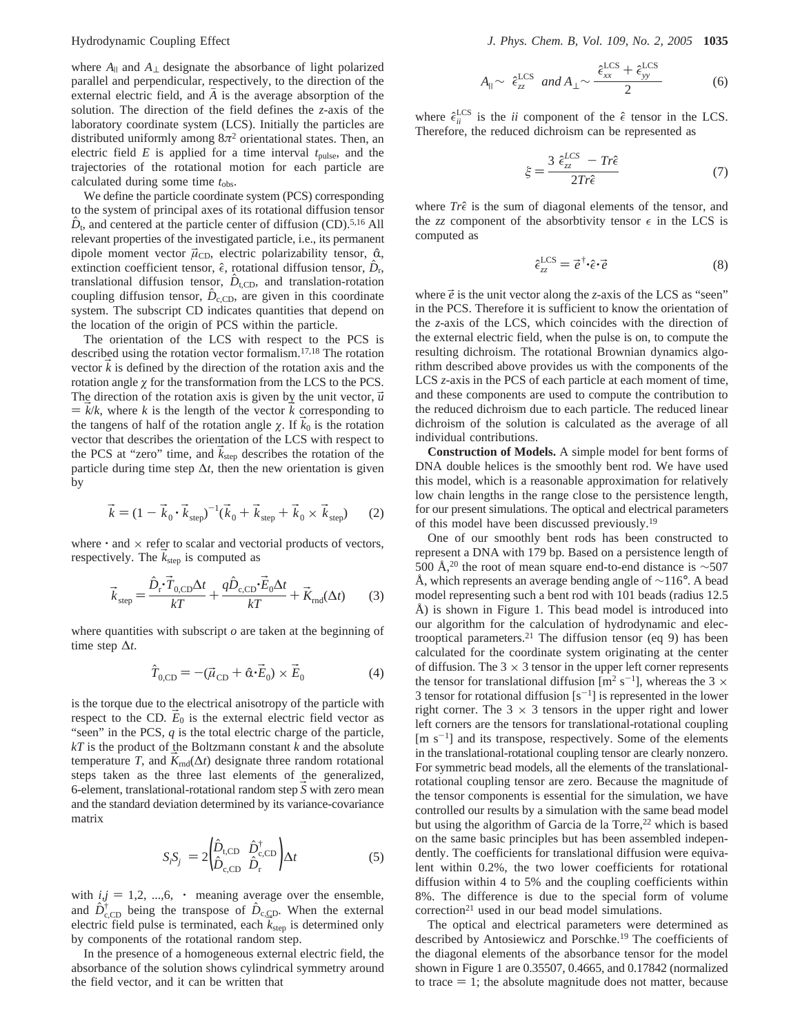where  $A_{\parallel}$  and  $A_{\perp}$  designate the absorbance of light polarized parallel and perpendicular, respectively, to the direction of the external electric field, and *A* is the average absorption of the solution. The direction of the field defines the *z*-axis of the laboratory coordinate system (LCS). Initially the particles are distributed uniformly among 8*π*<sup>2</sup> orientational states. Then, an electric field  $E$  is applied for a time interval  $t_{\text{pulse}}$ , and the trajectories of the rotational motion for each particle are calculated during some time  $t_{\rm obs}$ .

We define the particle coordinate system (PCS) corresponding to the system of principal axes of its rotational diffusion tensor  $\hat{D}_t$ , and centered at the particle center of diffusion (CD).<sup>5,16</sup> All relevant properties of the investigated particle, i.e., its permanent dipole moment vector  $\vec{\mu}_{CD}$ , electric polarizability tensor,  $\hat{\alpha}$ , extinction coefficient tensor,  $\hat{\epsilon}$ , rotational diffusion tensor,  $\hat{D}_{\rm r}$ , translational diffusion tensor,  $\hat{D}_{t,CD}$ , and translation-rotation coupling diffusion tensor,  $\hat{D}_{c,\text{CD}}$ , are given in this coordinate system. The subscript CD indicates quantities that depend on the location of the origin of PCS within the particle.

The orientation of the LCS with respect to the PCS is described using the rotation vector formalism.17,18 The rotation vector  $k$  is defined by the direction of the rotation axis and the rotation angle *ø* for the transformation from the LCS to the PCS. The direction of the rotation axis is given by the unit vector,  $\vec{u}$  $\mathbf{B} = k/k$ , where *k* is the length of the vector *k* corresponding to the tangens of half of the rotation angle  $\chi$ . If  $\vec{k}_0$  is the rotation vector that describes the orientation of the LCS with respect to the PCS at "zero" time, and  $\vec{k}_{\text{sten}}$  describes the rotation of the particle during time step  $\Delta t$ , then the new orientation is given by

$$
\vec{k} = (1 - \vec{k}_0 \cdot \vec{k}_{\text{step}})^{-1} (\vec{k}_0 + \vec{k}_{\text{step}} + \vec{k}_0 \times \vec{k}_{\text{step}}) \tag{2}
$$

where  $\cdot$  and  $\times$  refer to scalar and vectorial products of vectors, respectively. The  $k_{step}$  is computed as

$$
\vec{k}_{\text{step}} = \frac{\hat{D}_{\text{r}} \cdot \vec{T}_{0,\text{CD}} \Delta t}{kT} + \frac{q \hat{D}_{\text{c},\text{CD}} \cdot \vec{E}_0 \Delta t}{kT} + \vec{K}_{\text{md}}(\Delta t) \tag{3}
$$

where quantities with subscript  $o$  are taken at the beginning of time step ∆*t*.

$$
\hat{T}_{0,\text{CD}} = -(\vec{\mu}_{\text{CD}} + \hat{\alpha} \cdot \vec{E}_0) \times \vec{E}_0 \tag{4}
$$

is the torque due to the electrical anisotropy of the particle with respect to the CD.  $E_0$  is the external electric field vector as "seen" in the PCS, *q* is the total electric charge of the particle, *kT* is the product of the Boltzmann constant *k* and the absolute temperature *T*, and  $K_{\text{rnd}}(\Delta t)$  designate three random rotational steps taken as the three last elements of the generalized, 6-element, translational-rotational random step S with zero mean and the standard deviation determined by its variance-covariance matrix

$$
\langle S_i S_j \rangle = 2 \left( \stackrel{\hat{D}_{\text{t,CD}}}{\hat{D}_{\text{c,CD}}} \stackrel{\hat{D}_{\text{c,CD}}^{\dagger}}{\hat{D}_{\text{r}}} \right) \Delta t \tag{5}
$$

with  $i, j = 1, 2, ..., 6, \langle \cdot \rangle$  meaning average over the ensemble, and  $\hat{D}_{c,CD}^{\dagger}$  being the transpose of  $\hat{D}_{c,CD}$ . When the external electric field pulse is terminated each  $\hat{k}_c$ , is determined only electric field pulse is terminated, each  $\vec{k}_{step}$  is determined only by components of the rotational random step.

In the presence of a homogeneous external electric field, the absorbance of the solution shows cylindrical symmetry around the field vector, and it can be written that

$$
A_{\parallel} \sim \langle \hat{\epsilon}_{zz}^{\text{LCS}} \rangle \text{ and } A_{\perp} \sim \frac{\langle \hat{\epsilon}_{xx}^{\text{LCS}} + \hat{\epsilon}_{yy}^{\text{LCS}} \rangle}{2} \tag{6}
$$

where  $\hat{\epsilon}_{ii}^{\text{LCS}}$  is the *ii* component of the  $\hat{\epsilon}$  tensor in the LCS. Therefore, the reduced dichroism can be represented as

$$
\xi = \frac{3\langle \hat{\epsilon}_{zz}^{LCS} \rangle - Tr\hat{\epsilon}}{2Tr\hat{\epsilon}} \tag{7}
$$

where  $Tr\hat{\epsilon}$  is the sum of diagonal elements of the tensor, and the *zz* component of the absorbtivity tensor  $\epsilon$  in the LCS is computed as

$$
\hat{\epsilon}_{zz}^{\text{LCS}} = \vec{e}^{\dagger} \cdot \hat{\epsilon} \cdot \vec{e}
$$
 (8)

where  $\vec{e}$  is the unit vector along the *z*-axis of the LCS as "seen" in the PCS. Therefore it is sufficient to know the orientation of the *z*-axis of the LCS, which coincides with the direction of the external electric field, when the pulse is on, to compute the resulting dichroism. The rotational Brownian dynamics algorithm described above provides us with the components of the LCS *z*-axis in the PCS of each particle at each moment of time, and these components are used to compute the contribution to the reduced dichroism due to each particle. The reduced linear dichroism of the solution is calculated as the average of all individual contributions.

**Construction of Models.** A simple model for bent forms of DNA double helices is the smoothly bent rod. We have used this model, which is a reasonable approximation for relatively low chain lengths in the range close to the persistence length, for our present simulations. The optical and electrical parameters of this model have been discussed previously.19

One of our smoothly bent rods has been constructed to represent a DNA with 179 bp. Based on a persistence length of 500 Å,<sup>20</sup> the root of mean square end-to-end distance is ~507 Å, which represents an average bending angle of ∼116°. A bead model representing such a bent rod with 101 beads (radius 12.5 Å) is shown in Figure 1. This bead model is introduced into our algorithm for the calculation of hydrodynamic and electrooptical parameters.<sup>21</sup> The diffusion tensor (eq 9) has been calculated for the coordinate system originating at the center of diffusion. The  $3 \times 3$  tensor in the upper left corner represents the tensor for translational diffusion  $[m^2 \text{ s}^{-1}]$ , whereas the 3  $\times$ 3 tensor for rotational diffusion  $[s^{-1}]$  is represented in the lower right corner. The  $3 \times 3$  tensors in the upper right and lower left corners are the tensors for translational-rotational coupling  $[m s<sup>-1</sup>]$  and its transpose, respectively. Some of the elements in the translational-rotational coupling tensor are clearly nonzero. For symmetric bead models, all the elements of the translationalrotational coupling tensor are zero. Because the magnitude of the tensor components is essential for the simulation, we have controlled our results by a simulation with the same bead model but using the algorithm of Garcia de la Torre,<sup>22</sup> which is based on the same basic principles but has been assembled independently. The coefficients for translational diffusion were equivalent within 0.2%, the two lower coefficients for rotational diffusion within 4 to 5% and the coupling coefficients within 8%. The difference is due to the special form of volume correction<sup>21</sup> used in our bead model simulations.

The optical and electrical parameters were determined as described by Antosiewicz and Porschke.<sup>19</sup> The coefficients of the diagonal elements of the absorbance tensor for the model shown in Figure 1 are 0.35507, 0.4665, and 0.17842 (normalized to trace  $= 1$ ; the absolute magnitude does not matter, because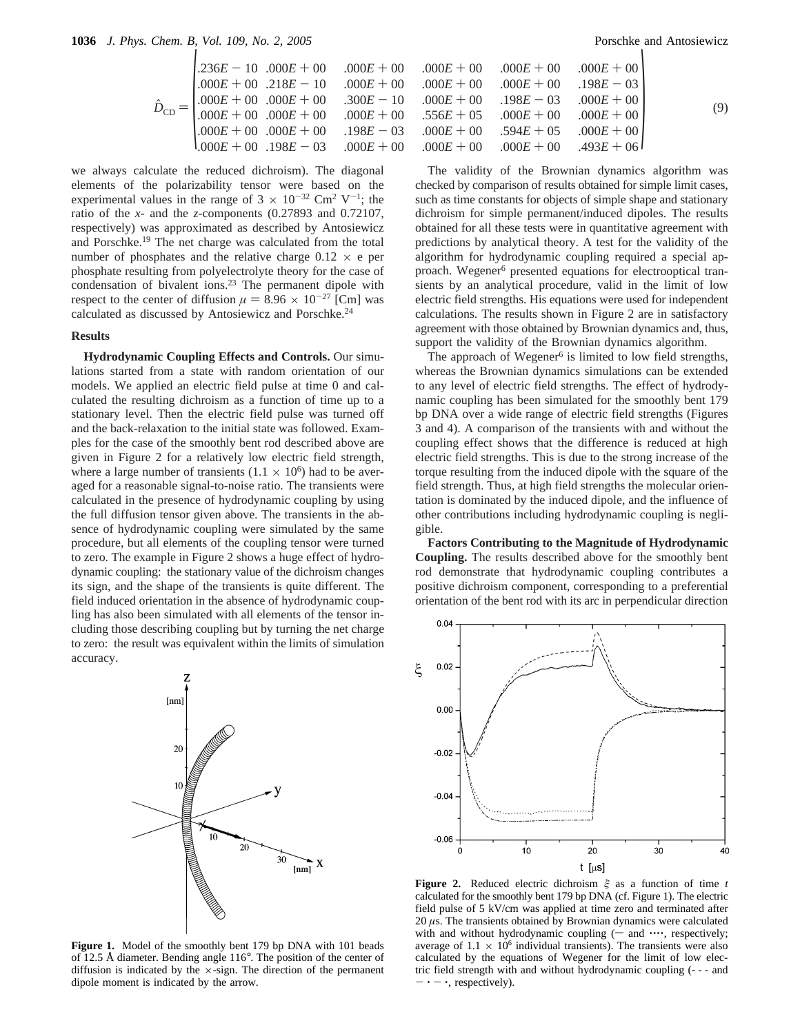$$
\hat{D}_{\text{CD}} = \begin{pmatrix}\n.236E - 10 & .000E + 00 & .000E + 00 & .000E + 00 & .000E + 00 & .000E + 00 \\
.000E + 00 & .218E - 10 & .000E + 00 & .000E + 00 & .000E + 00 & .198E - 03 \\
.000E + 00 & .000E + 00 & .300E - 10 & .000E + 00 & .198E - 03 & .000E + 00 \\
.000E + 00 & .000E + 00 & .198E - 03 & .000E + 00 & .000E + 00 & .000E + 00 \\
.000E + 00 & .000E + 00 & .198E - 03 & .000E + 00 & .000E + 00 & .000E + 00 \\
.000E + 00 & .198E - 03 & .000E + 00 & .000E + 00 & .000E + 00 & .493E + 06\n\end{pmatrix} (9)
$$

we always calculate the reduced dichroism). The diagonal elements of the polarizability tensor were based on the experimental values in the range of  $3 \times 10^{-32}$  Cm<sup>2</sup> V<sup>-1</sup>; the ratio of the *x*- and the *z*-components (0.27893 and 0.72107, respectively) was approximated as described by Antosiewicz and Porschke.<sup>19</sup> The net charge was calculated from the total number of phosphates and the relative charge  $0.12 \times e$  per phosphate resulting from polyelectrolyte theory for the case of condensation of bivalent ions.<sup>23</sup> The permanent dipole with respect to the center of diffusion  $\mu = 8.96 \times 10^{-27}$  [Cm] was calculated as discussed by Antosiewicz and Porschke.24

#### **Results**

**Hydrodynamic Coupling Effects and Controls.** Our simulations started from a state with random orientation of our models. We applied an electric field pulse at time 0 and calculated the resulting dichroism as a function of time up to a stationary level. Then the electric field pulse was turned off and the back-relaxation to the initial state was followed. Examples for the case of the smoothly bent rod described above are given in Figure 2 for a relatively low electric field strength, where a large number of transients  $(1.1 \times 10^6)$  had to be averaged for a reasonable signal-to-noise ratio. The transients were calculated in the presence of hydrodynamic coupling by using the full diffusion tensor given above. The transients in the absence of hydrodynamic coupling were simulated by the same procedure, but all elements of the coupling tensor were turned to zero. The example in Figure 2 shows a huge effect of hydrodynamic coupling: the stationary value of the dichroism changes its sign, and the shape of the transients is quite different. The field induced orientation in the absence of hydrodynamic coupling has also been simulated with all elements of the tensor including those describing coupling but by turning the net charge to zero: the result was equivalent within the limits of simulation accuracy.



**Figure 1.** Model of the smoothly bent 179 bp DNA with 101 beads of 12.5 Å diameter. Bending angle 116°. The position of the center of diffusion is indicated by the  $\times$ -sign. The direction of the permanent dipole moment is indicated by the arrow.

The validity of the Brownian dynamics algorithm was checked by comparison of results obtained for simple limit cases, such as time constants for objects of simple shape and stationary dichroism for simple permanent/induced dipoles. The results obtained for all these tests were in quantitative agreement with predictions by analytical theory. A test for the validity of the algorithm for hydrodynamic coupling required a special approach. Wegener<sup>6</sup> presented equations for electrooptical transients by an analytical procedure, valid in the limit of low electric field strengths. His equations were used for independent calculations. The results shown in Figure 2 are in satisfactory agreement with those obtained by Brownian dynamics and, thus, support the validity of the Brownian dynamics algorithm.

The approach of Wegener<sup>6</sup> is limited to low field strengths, whereas the Brownian dynamics simulations can be extended to any level of electric field strengths. The effect of hydrodynamic coupling has been simulated for the smoothly bent 179 bp DNA over a wide range of electric field strengths (Figures 3 and 4). A comparison of the transients with and without the coupling effect shows that the difference is reduced at high electric field strengths. This is due to the strong increase of the torque resulting from the induced dipole with the square of the field strength. Thus, at high field strengths the molecular orientation is dominated by the induced dipole, and the influence of other contributions including hydrodynamic coupling is negligible.

**Factors Contributing to the Magnitude of Hydrodynamic Coupling.** The results described above for the smoothly bent rod demonstrate that hydrodynamic coupling contributes a positive dichroism component, corresponding to a preferential orientation of the bent rod with its arc in perpendicular direction



**Figure 2.** Reduced electric dichroism *ê* as a function of time *t* calculated for the smoothly bent 179 bp DNA (cf. Figure 1). The electric field pulse of 5 kV/cm was applied at time zero and terminated after 20 *µ*s. The transients obtained by Brownian dynamics were calculated with and without hydrodynamic coupling  $(-$  and  $\cdots$ , respectively; average of  $1.1 \times 10^6$  individual transients). The transients were also calculated by the equations of Wegener for the limit of low electric field strength with and without hydrodynamic coupling (- - - and  $-\cdot$  -  $\cdot$ , respectively).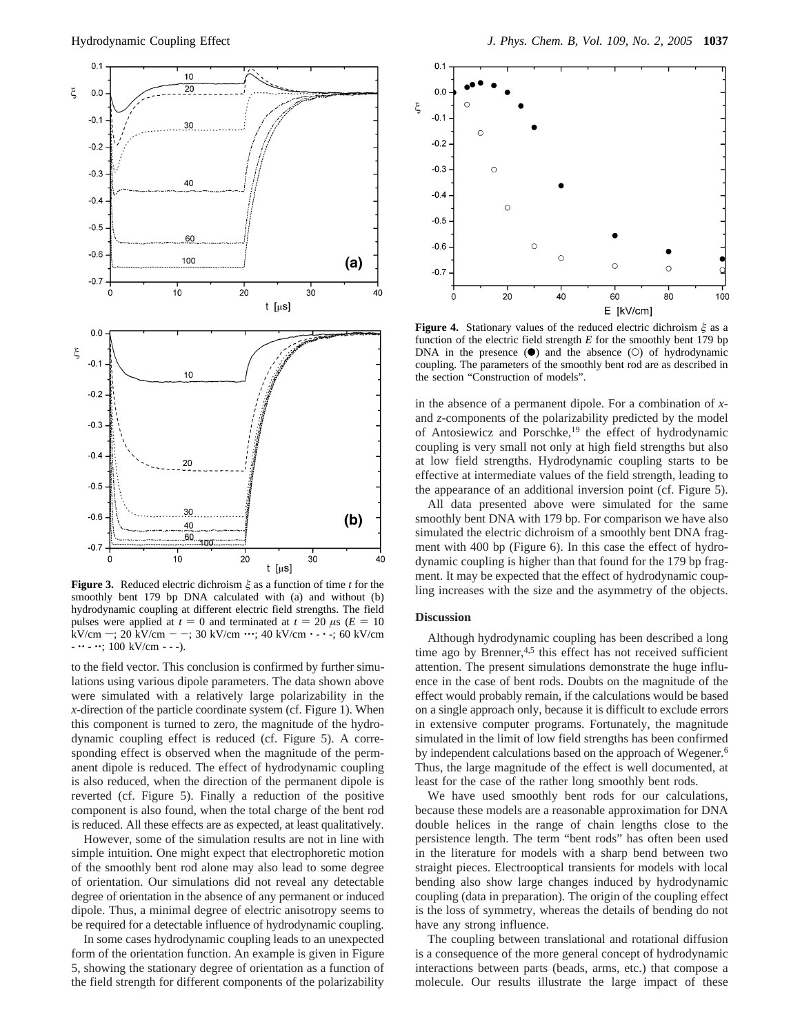

**Figure 3.** Reduced electric dichroism *ê* as a function of time *t* for the smoothly bent 179 bp DNA calculated with (a) and without (b) hydrodynamic coupling at different electric field strengths. The field pulses were applied at  $t = 0$  and terminated at  $t = 20 \mu s$  ( $E = 10$ kV/cm  $-$ ; 20 kV/cm  $-$  -; 30 kV/cm  $\cdots$ ; 40 kV/cm  $\cdot$  -  $\cdot$  -; 60 kV/cm  $- \cdots - \cdots$ ; 100 kV/cm - - -).

to the field vector. This conclusion is confirmed by further simulations using various dipole parameters. The data shown above were simulated with a relatively large polarizability in the *x*-direction of the particle coordinate system (cf. Figure 1). When this component is turned to zero, the magnitude of the hydrodynamic coupling effect is reduced (cf. Figure 5). A corresponding effect is observed when the magnitude of the permanent dipole is reduced. The effect of hydrodynamic coupling is also reduced, when the direction of the permanent dipole is reverted (cf. Figure 5). Finally a reduction of the positive component is also found, when the total charge of the bent rod is reduced. All these effects are as expected, at least qualitatively.

However, some of the simulation results are not in line with simple intuition. One might expect that electrophoretic motion of the smoothly bent rod alone may also lead to some degree of orientation. Our simulations did not reveal any detectable degree of orientation in the absence of any permanent or induced dipole. Thus, a minimal degree of electric anisotropy seems to be required for a detectable influence of hydrodynamic coupling.

In some cases hydrodynamic coupling leads to an unexpected form of the orientation function. An example is given in Figure 5, showing the stationary degree of orientation as a function of the field strength for different components of the polarizability



**Figure 4.** Stationary values of the reduced electric dichroism *ê* as a function of the electric field strength *E* for the smoothly bent 179 bp DNA in the presence  $(\bullet)$  and the absence  $(\circ)$  of hydrodynamic coupling. The parameters of the smoothly bent rod are as described in the section "Construction of models".

in the absence of a permanent dipole. For a combination of *x*and *z*-components of the polarizability predicted by the model of Antosiewicz and Porschke,<sup>19</sup> the effect of hydrodynamic coupling is very small not only at high field strengths but also at low field strengths. Hydrodynamic coupling starts to be effective at intermediate values of the field strength, leading to the appearance of an additional inversion point (cf. Figure 5).

All data presented above were simulated for the same smoothly bent DNA with 179 bp. For comparison we have also simulated the electric dichroism of a smoothly bent DNA fragment with 400 bp (Figure 6). In this case the effect of hydrodynamic coupling is higher than that found for the 179 bp fragment. It may be expected that the effect of hydrodynamic coupling increases with the size and the asymmetry of the objects.

#### **Discussion**

Although hydrodynamic coupling has been described a long time ago by Brenner,<sup>4,5</sup> this effect has not received sufficient attention. The present simulations demonstrate the huge influence in the case of bent rods. Doubts on the magnitude of the effect would probably remain, if the calculations would be based on a single approach only, because it is difficult to exclude errors in extensive computer programs. Fortunately, the magnitude simulated in the limit of low field strengths has been confirmed by independent calculations based on the approach of Wegener.<sup>6</sup> Thus, the large magnitude of the effect is well documented, at least for the case of the rather long smoothly bent rods.

We have used smoothly bent rods for our calculations, because these models are a reasonable approximation for DNA double helices in the range of chain lengths close to the persistence length. The term "bent rods" has often been used in the literature for models with a sharp bend between two straight pieces. Electrooptical transients for models with local bending also show large changes induced by hydrodynamic coupling (data in preparation). The origin of the coupling effect is the loss of symmetry, whereas the details of bending do not have any strong influence.

The coupling between translational and rotational diffusion is a consequence of the more general concept of hydrodynamic interactions between parts (beads, arms, etc.) that compose a molecule. Our results illustrate the large impact of these